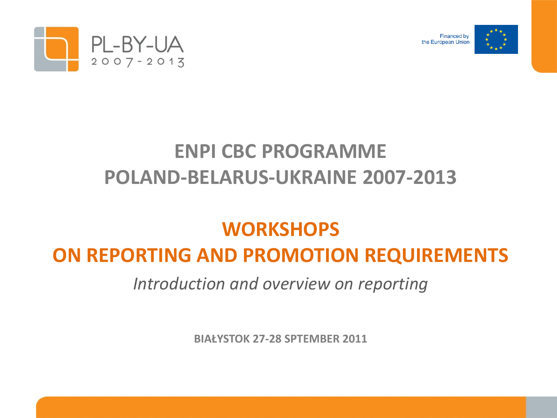



## **ENPI CBC PROGRAMME POLAND-BELARUS-UKRAINE 2007-2013**

## **WORKSHOPS ON REPORTING AND PROMOTION REQUIREMENTS**

*Introduction and overview on reporting*

**BIAŁYSTOK 27-28 SPTEMBER 2011**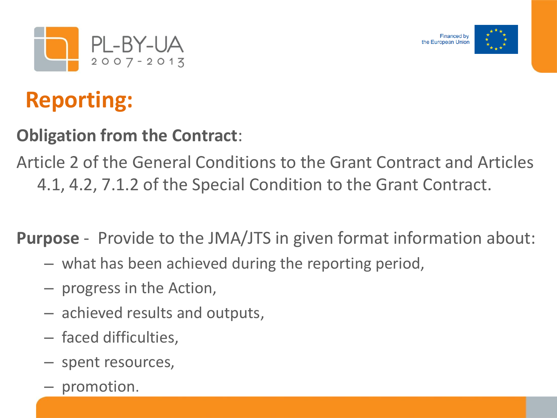



## **Reporting:**

#### **Obligation from the Contract**:

Article 2 of the General Conditions to the Grant Contract and Articles 4.1, 4.2, 7.1.2 of the Special Condition to the Grant Contract.

**Purpose** - Provide to the JMA/JTS in given format information about:

- what has been achieved during the reporting period,
- progress in the Action,
- achieved results and outputs,
- faced difficulties,
- spent resources,
- promotion.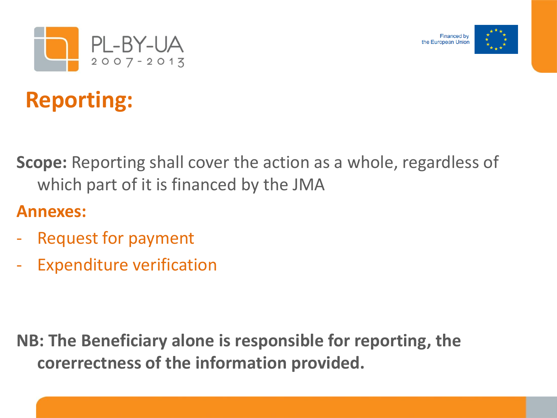





**Scope:** Reporting shall cover the action as a whole, regardless of which part of it is financed by the JMA

#### **Annexes:**

- Request for payment
- **Expenditure verification**

**NB: The Beneficiary alone is responsible for reporting, the corerrectness of the information provided.**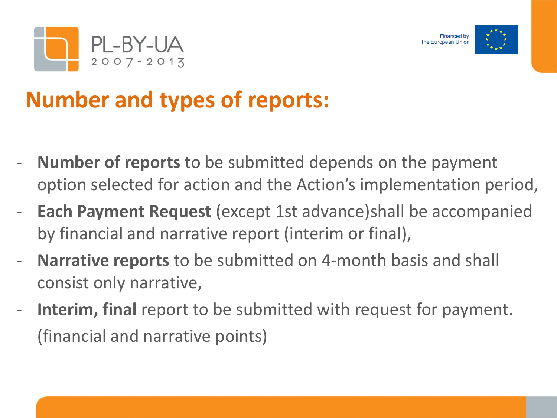



# **Number and types of reports:**

- **Number of reports** to be submitted depends on the payment option selected for action and the Action's implementation period,
- **Each Payment Request** (except 1st advance)shall be accompanied by financial and narrative report (interim or final),
- **Narrative reports** to be submitted on 4-month basis and shall consist only narrative,
- **Interim, final** report to be submitted with request for payment. (financial and narrative points)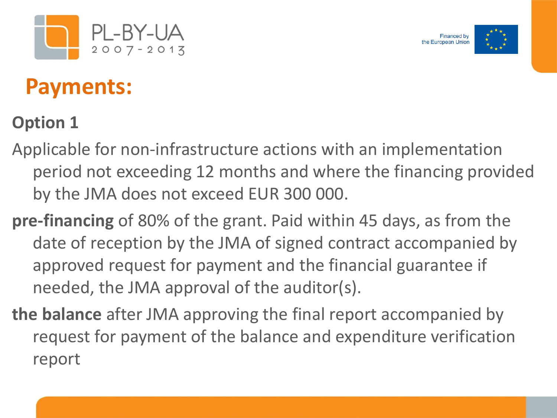



### **Option 1**

- Applicable for non-infrastructure actions with an implementation period not exceeding 12 months and where the financing provided by the JMA does not exceed EUR 300 000.
- **pre-financing** of 80% of the grant. Paid within 45 days, as from the date of reception by the JMA of signed contract accompanied by approved request for payment and the financial guarantee if needed, the JMA approval of the auditor(s).
- **the balance** after JMA approving the final report accompanied by request for payment of the balance and expenditure verification report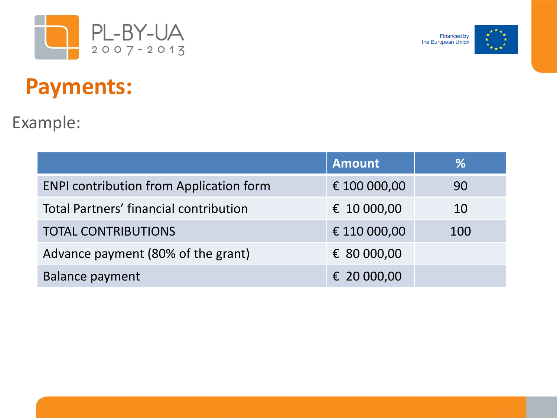



Example:

|                                                | <b>Amount</b> | ℅   |
|------------------------------------------------|---------------|-----|
| <b>ENPI contribution from Application form</b> | € 100 000,00  | 90  |
| Total Partners' financial contribution         | € 10 000,00   | 10  |
| <b>TOTAL CONTRIBUTIONS</b>                     | € 110 000,00  | 100 |
| Advance payment (80% of the grant)             | € 80 000,00   |     |
| <b>Balance payment</b>                         | € 20 000,00   |     |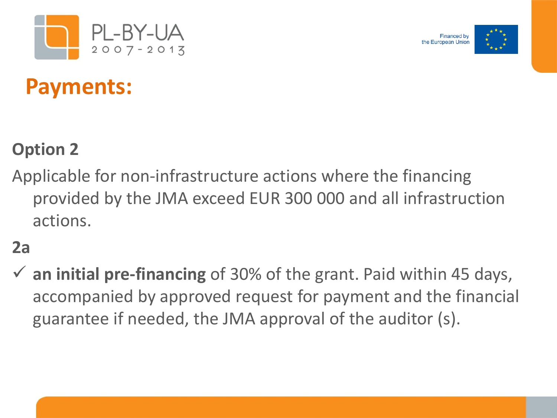



#### **Option 2**

Applicable for non-infrastructure actions where the financing provided by the JMA exceed EUR 300 000 and all infrastruction actions.

#### **2a**

 **an initial pre-financing** of 30% of the grant. Paid within 45 days, accompanied by approved request for payment and the financial guarantee if needed, the JMA approval of the auditor (s).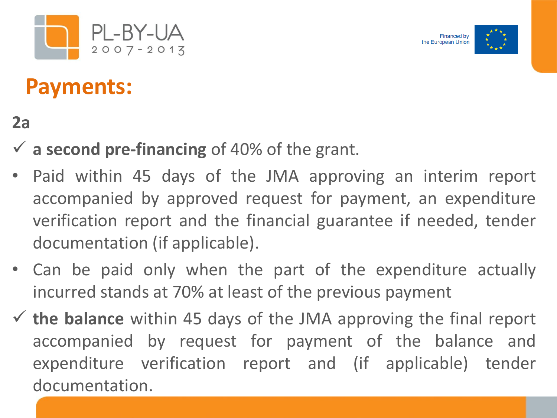





### **2a**

- **a second pre-financing** of 40% of the grant.
- Paid within 45 days of the JMA approving an interim report accompanied by approved request for payment, an expenditure verification report and the financial guarantee if needed, tender documentation (if applicable).
- Can be paid only when the part of the expenditure actually incurred stands at 70% at least of the previous payment
- **the balance** within 45 days of the JMA approving the final report accompanied by request for payment of the balance and expenditure verification report and (if applicable) tender documentation.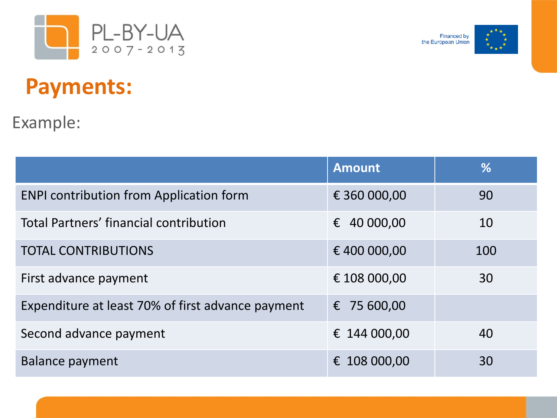



Example:

|                                                   | <b>Amount</b> | %   |
|---------------------------------------------------|---------------|-----|
| <b>ENPI contribution from Application form</b>    | € 360 000,00  | 90  |
| Total Partners' financial contribution            | € 40 000,00   | 10  |
| <b>TOTAL CONTRIBUTIONS</b>                        | €400 000,00   | 100 |
| First advance payment                             | € 108 000,00  | 30  |
| Expenditure at least 70% of first advance payment | € 75 600,00   |     |
| Second advance payment                            | € 144 000,00  | 40  |
| Balance payment                                   | € 108 000,00  | 30  |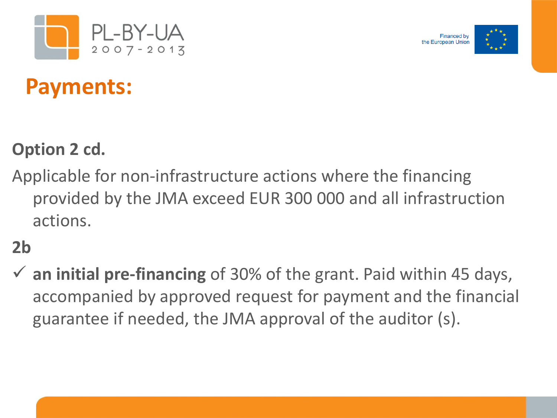



#### **Option 2 cd.**

Applicable for non-infrastructure actions where the financing provided by the JMA exceed EUR 300 000 and all infrastruction actions.

#### **2b**

 **an initial pre-financing** of 30% of the grant. Paid within 45 days, accompanied by approved request for payment and the financial guarantee if needed, the JMA approval of the auditor (s).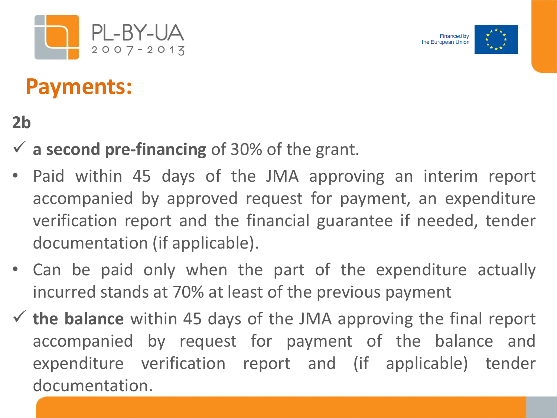





### **2b**

- **a second pre-financing** of 30% of the grant.
- Paid within 45 days of the JMA approving an interim report accompanied by approved request for payment, an expenditure verification report and the financial guarantee if needed, tender documentation (if applicable).
- Can be paid only when the part of the expenditure actually incurred stands at 70% at least of the previous payment
- **the balance** within 45 days of the JMA approving the final report accompanied by request for payment of the balance and expenditure verification report and (if applicable) tender documentation.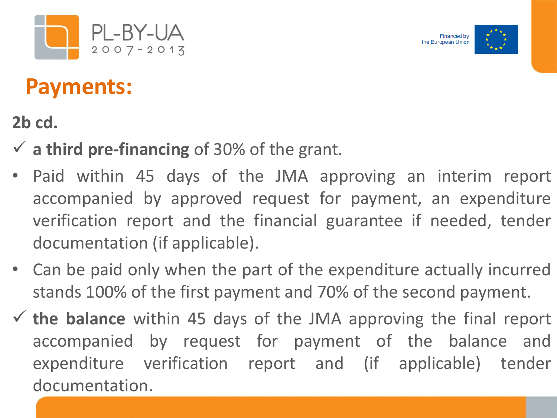



#### **2b cd.**

- **a third pre-financing** of 30% of the grant.
- Paid within 45 days of the JMA approving an interim report accompanied by approved request for payment, an expenditure verification report and the financial guarantee if needed, tender documentation (if applicable).
- Can be paid only when the part of the expenditure actually incurred stands 100% of the first payment and 70% of the second payment.
- **the balance** within 45 days of the JMA approving the final report accompanied by request for payment of the balance and expenditure verification report and (if applicable) tender documentation.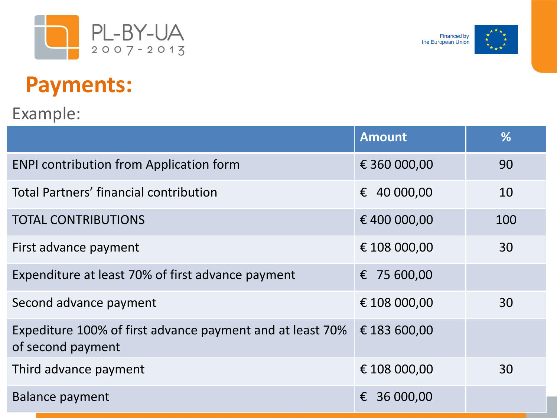



Example:

|                                                                                | <b>Amount</b>  | %   |
|--------------------------------------------------------------------------------|----------------|-----|
| <b>ENPI contribution from Application form</b>                                 | € 360 000,00   | 90  |
| Total Partners' financial contribution                                         | € 40 000,00    | 10  |
| <b>TOTAL CONTRIBUTIONS</b>                                                     | €400 000,00    | 100 |
| First advance payment                                                          | € 108 000,00   | 30  |
| Expenditure at least 70% of first advance payment                              | 75 600,00<br>€ |     |
| Second advance payment                                                         | € 108 000,00   | 30  |
| Expediture 100% of first advance payment and at least 70%<br>of second payment | € 183 600,00   |     |
| Third advance payment                                                          | € 108 000,00   | 30  |
| Balance payment                                                                | 36 000,00<br>€ |     |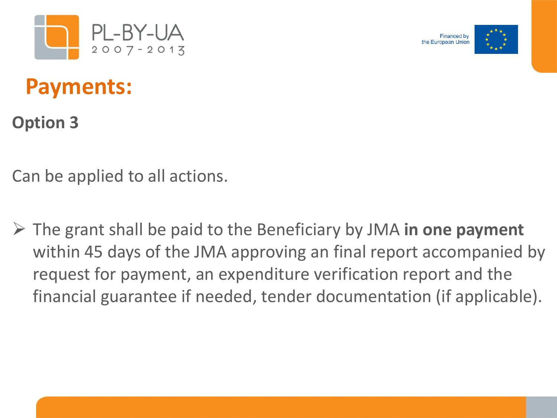





**Option 3** 

Can be applied to all actions.

 The grant shall be paid to the Beneficiary by JMA **in one payment** within 45 days of the JMA approving an final report accompanied by request for payment, an expenditure verification report and the financial guarantee if needed, tender documentation (if applicable).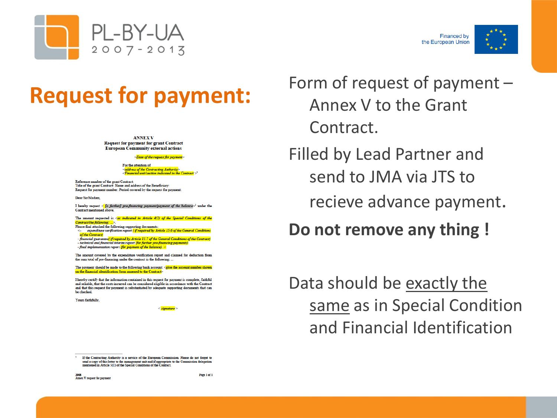



## **Request for payment:**

**ANNEX V Request for payment for grant Contract European Community external actions** 

<Date of the request for payment>

For the attention of **Saddress of the Contracting Authority**  $\leq$ Financial unit/section indicated in the Contract  $>^1$ 

Reference number of the grant Contract: Title of the grant Contract: Name and address of the Beneficiary: Request for payment number: Period covered by the request for payment:

Dear Sir/Madam

I hereby request  $\leq$  [a further] pre-financing payment/payment of the balance<sup>-2</sup> under the Contract mentioned above

The amount requested is  $\leq$  indicated in Article 4(2) of the Special Conditions of the Contract/the following:

Please find attached the following supporting documents: expenditure verification report (if required by Article 15.6 of the General Conditions of the Contract)

- financial guarantes<mark>( if required by Article 15.7 of the General Conditions of the Contract)</mark> - technical and financial interim report (for further pre-financing payments)

- final implementation report (for payment of the balance).

The amount covered by the expenditure verification report and claimed for deduction from the sum total of pre-financing under the contract is the following: ...

The payment should be made to the following bank account: < give the account number shown on the financial identification form annexed to the Contract>

I hereby certify that the information contained in this request for payment is complete, faithful and reliable, that the costs incurred can be considered eligible in accordance with the Contract and that this request for payment is substantiated by adequate supporting documents that can be checked

Yours faithfully,

< <mark>signature</mark> >

If the Contracting Authority is a service of the European Commission. Please do not forget to send a copy of this letter to the management unit and if appropriate to the Commission delegation<br>mentioned in Article 5(1) of the Special Conditions of the Contract.

2008<br>Annex V request for payment

Page 1 of 1

Form of request of payment – Annex V to the Grant Contract.

Filled by Lead Partner and send to JMA via JTS to

recieve advance payment.

**Do not remove any thing !**

Data should be exactly the same as in Special Condition and Financial Identification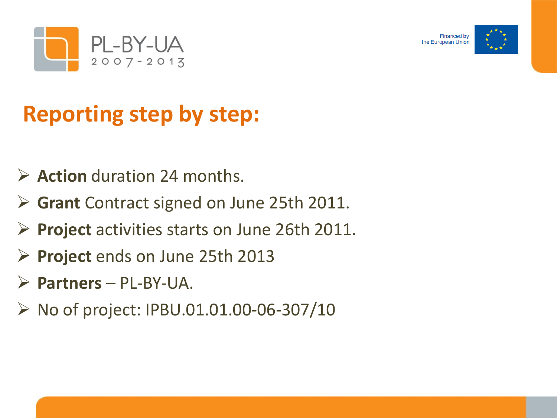



# **Reporting step by step:**

- **Action** duration 24 months.
- **Grant** Contract signed on June 25th 2011.
- **Project** activities starts on June 26th 2011.
- **Project** ends on June 25th 2013
- **Partners** PL-BY-UA.
- $\triangleright$  No of project: IPBU.01.01.00-06-307/10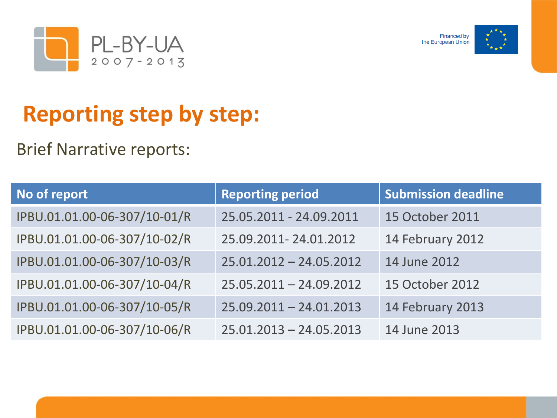



## **Reporting step by step:**

Brief Narrative reports:

| No of report                 | <b>Reporting period</b>   | <b>Submission deadline</b> |
|------------------------------|---------------------------|----------------------------|
| IPBU.01.01.00-06-307/10-01/R | 25.05.2011 - 24.09.2011   | 15 October 2011            |
| IPBU.01.01.00-06-307/10-02/R | 25.09.2011 - 24.01.2012   | 14 February 2012           |
| IPBU.01.01.00-06-307/10-03/R | $25.01.2012 - 24.05.2012$ | 14 June 2012               |
| IPBU.01.01.00-06-307/10-04/R | $25.05.2011 - 24.09.2012$ | 15 October 2012            |
| IPBU.01.01.00-06-307/10-05/R | 25.09.2011 - 24.01.2013   | 14 February 2013           |
| IPBU.01.01.00-06-307/10-06/R | $25.01.2013 - 24.05.2013$ | 14 June 2013               |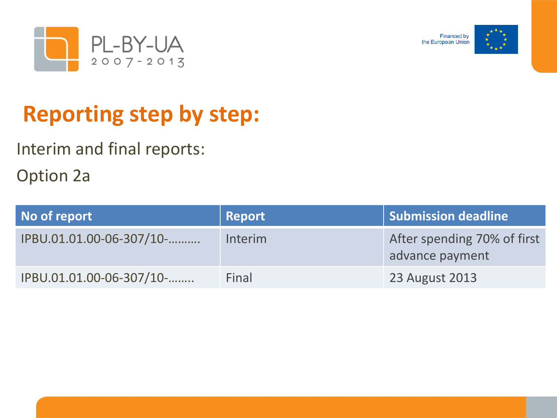





Interim and final reports:

Option 2a

| No of report             | Report  | <b>Submission deadline</b>                     |
|--------------------------|---------|------------------------------------------------|
| IPBU.01.01.00-06-307/10- | Interim | After spending 70% of first<br>advance payment |
| IPBU.01.01.00-06-307/10- | Final   | 23 August 2013                                 |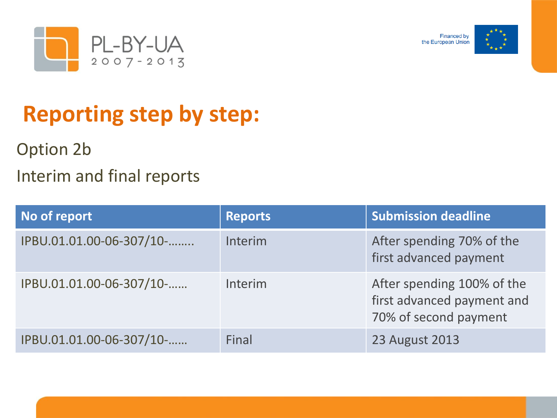



# **Reporting step by step:**

#### Option 2b

#### Interim and final reports

| No of report             | <b>Reports</b> | <b>Submission deadline</b>                                                        |
|--------------------------|----------------|-----------------------------------------------------------------------------------|
| IPBU.01.01.00-06-307/10- | Interim        | After spending 70% of the<br>first advanced payment                               |
| IPBU.01.01.00-06-307/10- | Interim        | After spending 100% of the<br>first advanced payment and<br>70% of second payment |
| IPBU.01.01.00-06-307/10- | Final          | <b>23 August 2013</b>                                                             |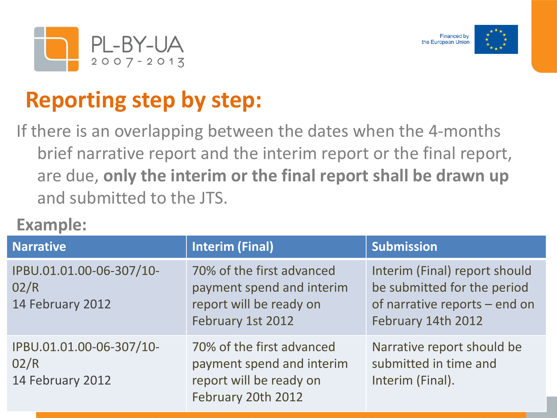



# **Reporting step by step:**

If there is an overlapping between the dates when the 4-months brief narrative report and the interim report or the final report, are due, **only the interim or the final report shall be drawn up**  and submitted to the JTS.

#### **Example:**

| <b>Narrative</b>                                     | <b>Interim (Final)</b>                                                                                  | <b>Submission</b>                                                                                                   |
|------------------------------------------------------|---------------------------------------------------------------------------------------------------------|---------------------------------------------------------------------------------------------------------------------|
| IPBU.01.01.00-06-307/10-<br>02/R<br>14 February 2012 | 70% of the first advanced<br>payment spend and interim<br>report will be ready on<br>February 1st 2012  | Interim (Final) report should<br>be submitted for the period<br>of narrative reports - end on<br>February 14th 2012 |
| IPBU.01.01.00-06-307/10-<br>02/R<br>14 February 2012 | 70% of the first advanced<br>payment spend and interim<br>report will be ready on<br>February 20th 2012 | Narrative report should be<br>submitted in time and<br>Interim (Final).                                             |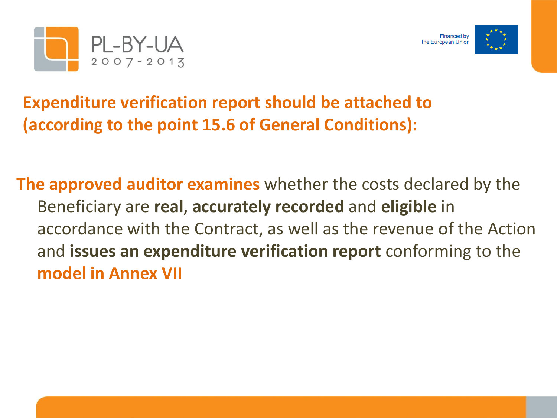



#### **Expenditure verification report should be attached to (according to the point 15.6 of General Conditions):**

**The approved auditor examines** whether the costs declared by the Beneficiary are **real**, **accurately recorded** and **eligible** in accordance with the Contract, as well as the revenue of the Action and **issues an expenditure verification report** conforming to the **model in Annex VII**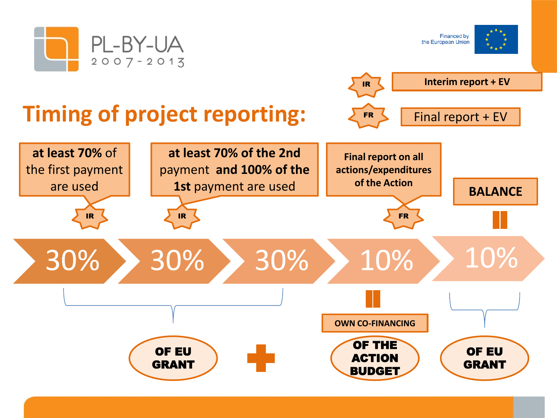